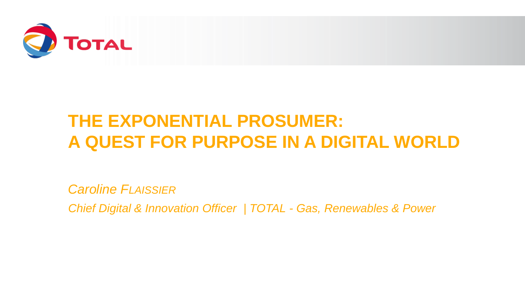

# **THE EXPONENTIAL PROSUMER: A QUEST FOR PURPOSE IN A DIGITAL WORLD**

*Caroline FLAISSIER*

*Chief Digital & Innovation Officer | TOTAL - Gas, Renewables & Power*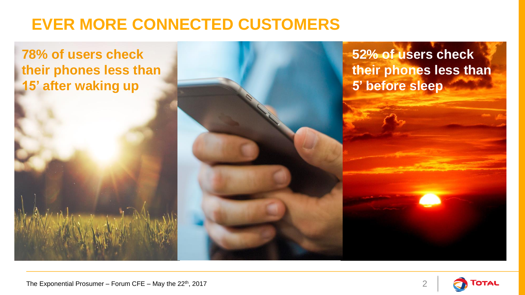## **EVER MORE CONNECTED CUSTOMERS**

**78% of users check their phones less than 15' after waking up**

**52% of users check their phones less than 5' before sleep**

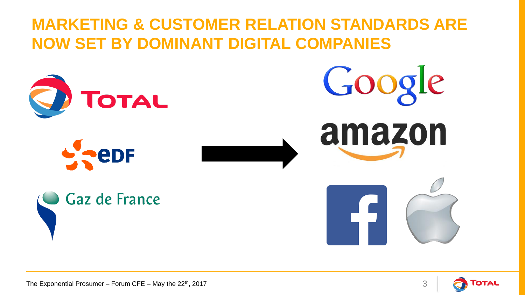## **MARKETING & CUSTOMER RELATION STANDARDS ARE NOW SET BY DOMINANT DIGITAL COMPANIES**



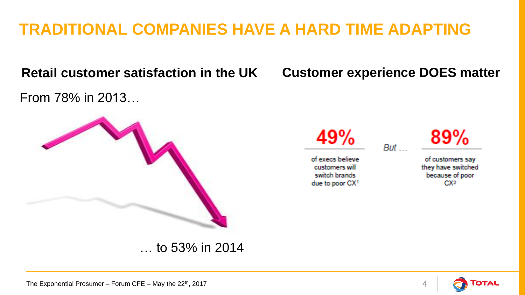## **TRADITIONAL COMPANIES HAVE A HARD TIME ADAPTING**

### **Retail customer satisfaction in the UK**

From 78% in 2013…



#### … to 53% in 2014

### **Customer experience DOES matter**

But

49%

of execs believe customers will switch brands due to poor CX1 89%

of customers say they have switched because of poor  $CX<sub>2</sub>$ 

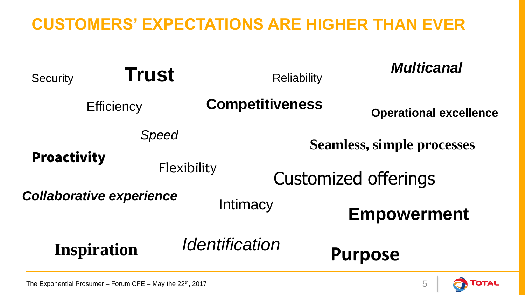### **CUSTOMERS' EXPECTATIONS ARE HIGHER THAN EVER**



Готац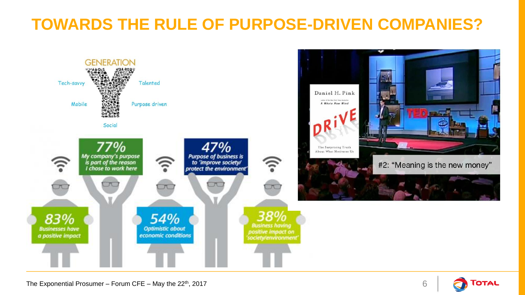## **TOWARDS THE RULE OF PURPOSE-DRIVEN COMPANIES?**



The Exponential Prosumer – Forum CFE – May the  $22<sup>th</sup>$ , 2017 6

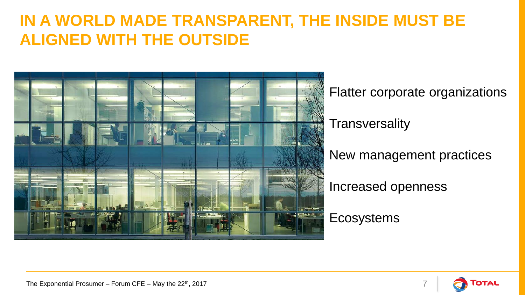### **IN A WORLD MADE TRANSPARENT, THE INSIDE MUST BE ALIGNED WITH THE OUTSIDE**



Flatter corporate organizations **Transversality** New management practices Increased openness

**Ecosystems**